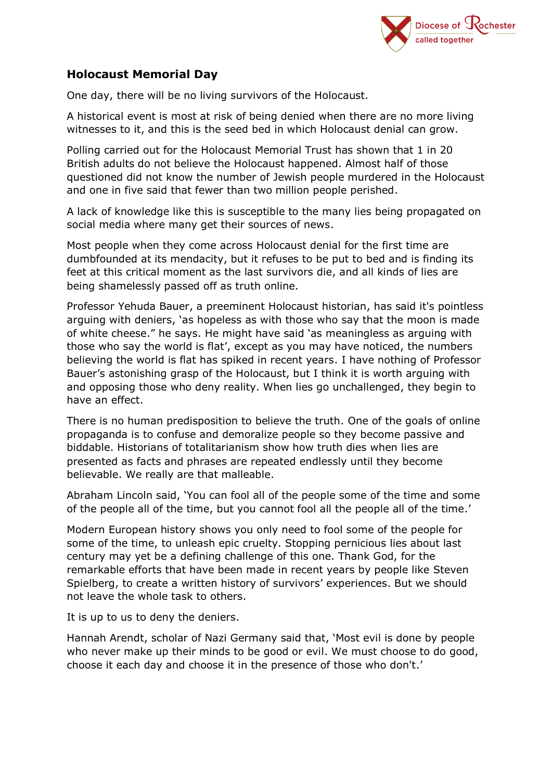

## **Holocaust Memorial Day**

One day, there will be no living survivors of the Holocaust.

A historical event is most at risk of being denied when there are no more living witnesses to it, and this is the seed bed in which Holocaust denial can grow.

Polling carried out for the Holocaust Memorial Trust has shown that 1 in 20 British adults do not believe the Holocaust happened. Almost half of those questioned did not know the number of Jewish people murdered in the Holocaust and one in five said that fewer than two million people perished.

A lack of knowledge like this is susceptible to the many lies being propagated on social media where many get their sources of news.

Most people when they come across Holocaust denial for the first time are dumbfounded at its mendacity, but it refuses to be put to bed and is finding its feet at this critical moment as the last survivors die, and all kinds of lies are being shamelessly passed off as truth online.

Professor Yehuda Bauer, a preeminent Holocaust historian, has said it's pointless arguing with deniers, 'as hopeless as with those who say that the moon is made of white cheese." he says. He might have said 'as meaningless as arguing with those who say the world is flat', except as you may have noticed, the numbers believing the world is flat has spiked in recent years. I have nothing of Professor Bauer's astonishing grasp of the Holocaust, but I think it is worth arguing with and opposing those who deny reality. When lies go unchallenged, they begin to have an effect.

There is no human predisposition to believe the truth. One of the goals of online propaganda is to confuse and demoralize people so they become passive and biddable. Historians of totalitarianism show how truth dies when lies are presented as facts and phrases are repeated endlessly until they become believable. We really are that malleable.

Abraham Lincoln said, 'You can fool all of the people some of the time and some of the people all of the time, but you cannot fool all the people all of the time.'

Modern European history shows you only need to fool some of the people for some of the time, to unleash epic cruelty. Stopping pernicious lies about last century may yet be a defining challenge of this one. Thank God, for the remarkable efforts that have been made in recent years by people like Steven Spielberg, to create a written history of survivors' experiences. But we should not leave the whole task to others.

It is up to us to deny the deniers.

Hannah Arendt, scholar of Nazi Germany said that, 'Most evil is done by people who never make up their minds to be good or evil. We must choose to do good, choose it each day and choose it in the presence of those who don't.'